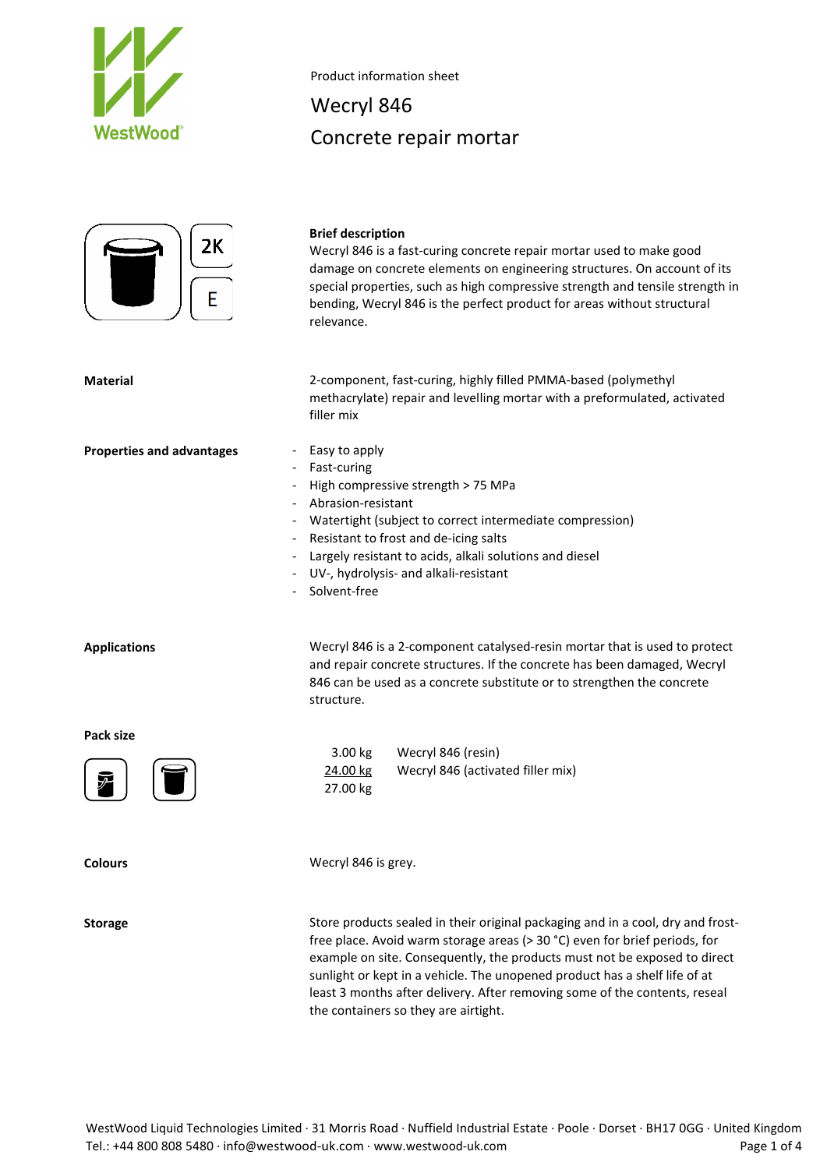

Product information sheet

# Wecryl 846 Concrete repair mortar



### **Brief description**

Wecryl 846 is a fast-curing concrete repair mortar used to make good damage on concrete elements on engineering structures. On account of its special properties, such as high compressive strength and tensile strength in bending, Wecryl 846 is the perfect product for areas without structural relevance.

**Material** 2-component, fast-curing, highly filled PMMA-based (polymethyl methacrylate) repair and levelling mortar with a preformulated, activated filler mix

#### **Properties and advantages** - Easy to apply

- Fast-curing
	- High compressive strength > 75 MPa
- Abrasion-resistant
- Watertight (subject to correct intermediate compression)
- Resistant to frost and de-icing salts
- Largely resistant to acids, alkali solutions and diesel
- UV-, hydrolysis- and alkali-resistant

3.00 kg Wecryl 846 (resin)

24.00 kg Wecryl 846 (activated filler mix)

Solvent-free

**Applications** Wecryl 846 is a 2-component catalysed-resin mortar that is used to protect and repair concrete structures. If the concrete has been damaged, Wecryl 846 can be used as a concrete substitute or to strengthen the concrete structure.

**Pack size**



**Colours** Wecryl 846 is grey.

27.00 kg

**Storage** Store products sealed in their original packaging and in a cool, dry and frostfree place. Avoid warm storage areas (> 30 °C) even for brief periods, for example on site. Consequently, the products must not be exposed to direct sunlight or kept in a vehicle. The unopened product has a shelf life of at least 3 months after delivery. After removing some of the contents, reseal the containers so they are airtight.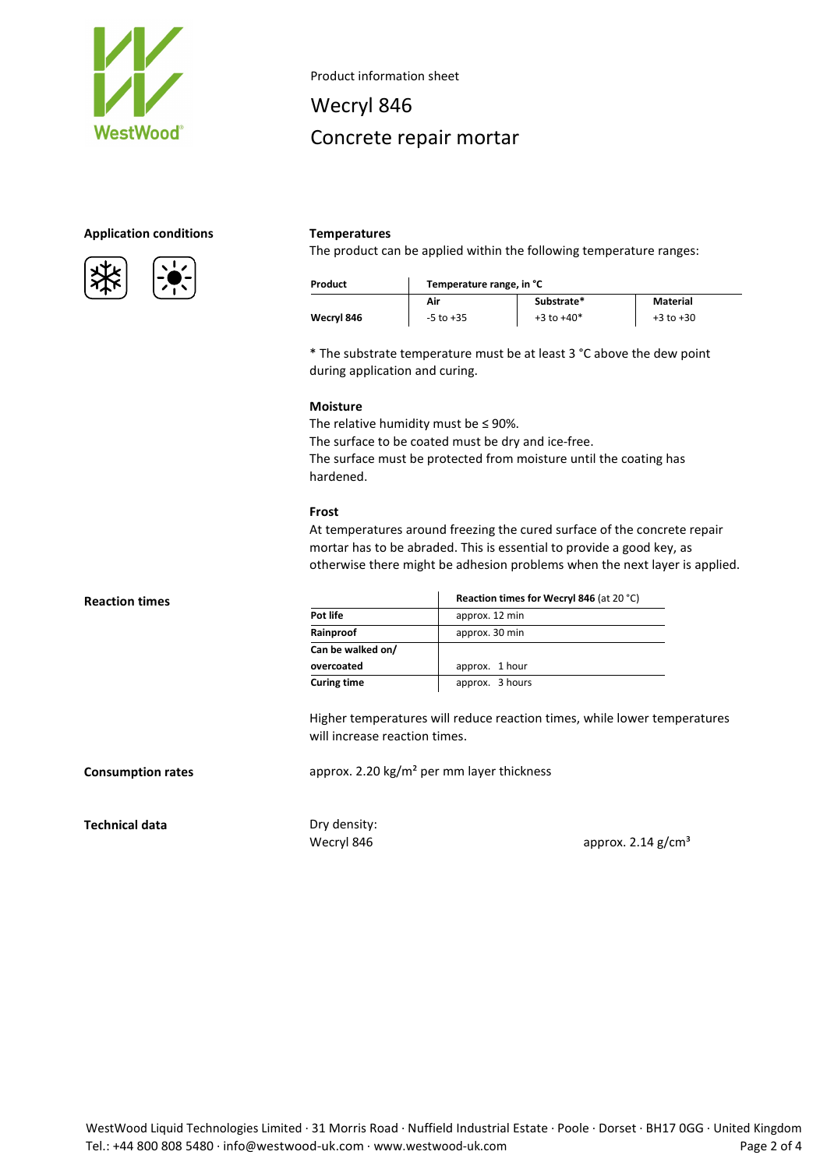

Product information sheet

# Wecryl 846 Concrete repair mortar

# **Application conditions Temperatures**





The product can be applied within the following temperature ranges:

| Product    | Temperature range, in °C |                |               |
|------------|--------------------------|----------------|---------------|
|            | Air                      | Substrate*     | Material      |
| Wecryl 846 | $-5$ to $+35$            | $+3$ to $+40*$ | $+3$ to $+30$ |

\* The substrate temperature must be at least 3 °C above the dew point during application and curing.

#### **Moisture**

The relative humidity must be  $\leq$  90%. The surface to be coated must be dry and ice-free. The surface must be protected from moisture until the coating has hardened.

### **Frost**

At temperatures around freezing the cured surface of the concrete repair mortar has to be abraded. This is essential to provide a good key, as otherwise there might be adhesion problems when the next layer is applied.

|                    | Reaction times for Wecryl 846 (at 20 °C) |  |
|--------------------|------------------------------------------|--|
| Pot life           | approx. 12 min                           |  |
| Rainproof          | approx. 30 min                           |  |
| Can be walked on/  |                                          |  |
| overcoated         | approx. 1 hour                           |  |
| <b>Curing time</b> | approx. 3 hours                          |  |

Higher temperatures will reduce reaction times, while lower temperatures will increase reaction times.

**Consumption rates approx.** 2.20 kg/m<sup>2</sup> per mm layer thickness

**Technical data** Dry density:

Wecryl 846 **approx.**  $2.14$  g/cm<sup>3</sup>

**Reaction times**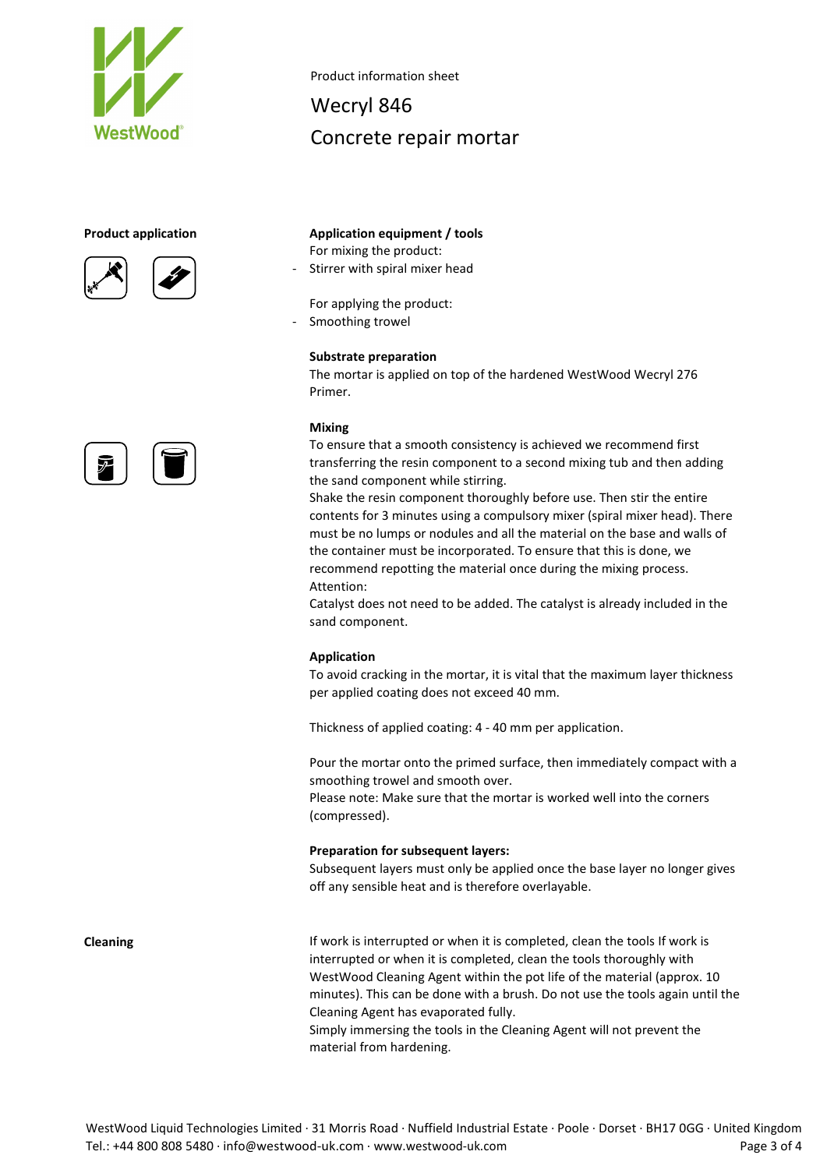





Product information sheet

Wecryl 846 Concrete repair mortar

# **Product application Application equipment / tools** For mixing the product:

- Stirrer with spiral mixer head

For applying the product:

Smoothing trowel

# **Substrate preparation**

The mortar is applied on top of the hardened WestWood Wecryl 276 Primer.

# **Mixing**

To ensure that a smooth consistency is achieved we recommend first transferring the resin component to a second mixing tub and then adding the sand component while stirring.

Shake the resin component thoroughly before use. Then stir the entire contents for 3 minutes using a compulsory mixer (spiral mixer head). There must be no lumps or nodules and all the material on the base and walls of the container must be incorporated. To ensure that this is done, we recommend repotting the material once during the mixing process. Attention:

Catalyst does not need to be added. The catalyst is already included in the sand component.

# **Application**

To avoid cracking in the mortar, it is vital that the maximum layer thickness per applied coating does not exceed 40 mm.

Thickness of applied coating: 4 - 40 mm per application.

Pour the mortar onto the primed surface, then immediately compact with a smoothing trowel and smooth over.

Please note: Make sure that the mortar is worked well into the corners (compressed).

# **Preparation for subsequent layers:**

Subsequent layers must only be applied once the base layer no longer gives off any sensible heat and is therefore overlayable.

**Cleaning If work is interrupted or when it is completed, clean the tools If work is completed, clean the tools If work is** interrupted or when it is completed, clean the tools thoroughly with WestWood Cleaning Agent within the pot life of the material (approx. 10 minutes). This can be done with a brush. Do not use the tools again until the Cleaning Agent has evaporated fully. Simply immersing the tools in the Cleaning Agent will not prevent the material from hardening.

WestWood Liquid Technologies Limited · 31 Morris Road · Nuffield Industrial Estate · Poole · Dorset · BH17 0GG · United Kingdom Tel.: +44 800 808 5480 · info@westwood-uk.com · www.westwood-uk.com example a set the page 3 of 4